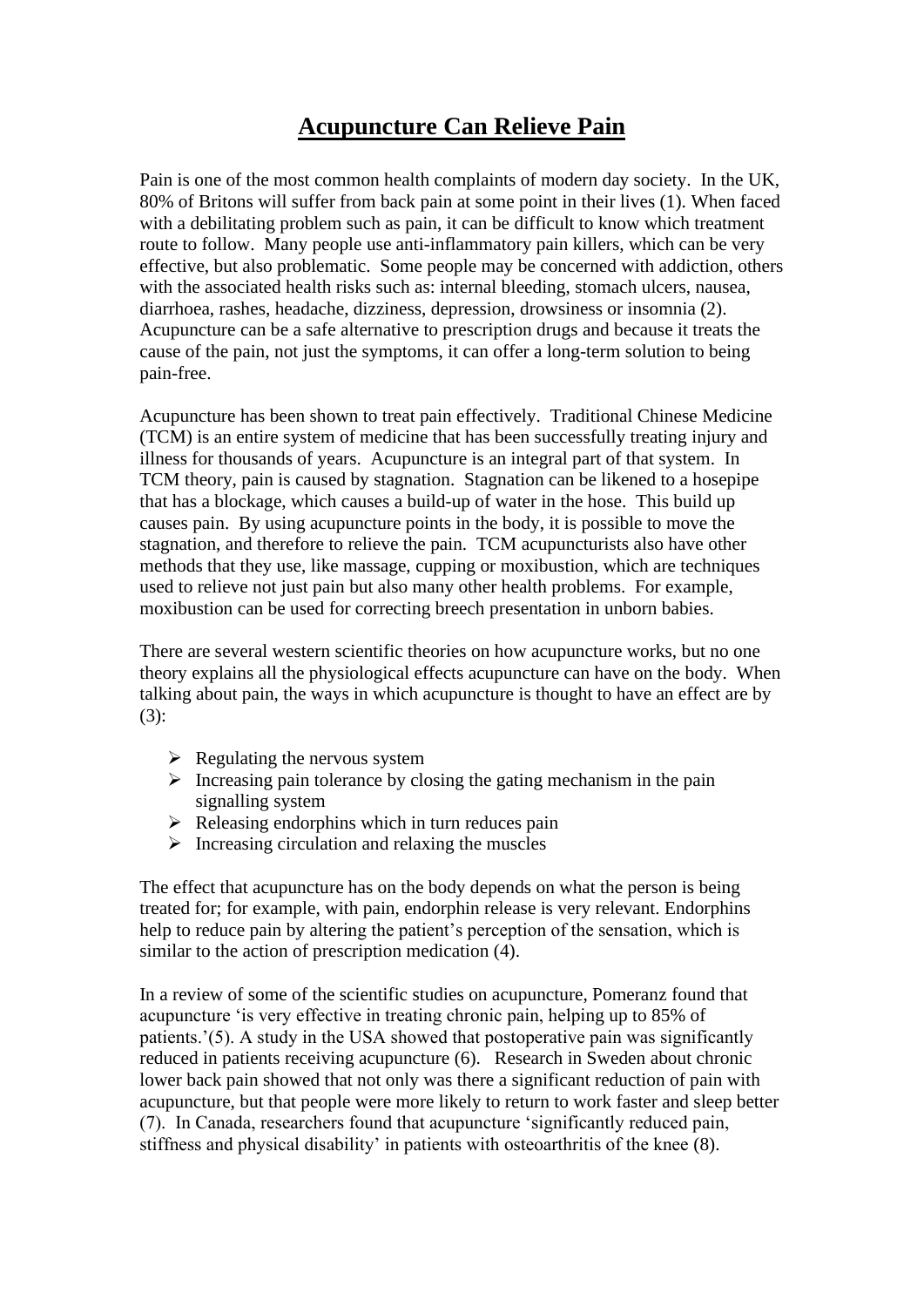## **Acupuncture Can Relieve Pain**

Pain is one of the most common health complaints of modern day society. In the UK, 80% of Britons will suffer from back pain at some point in their lives (1). When faced with a debilitating problem such as pain, it can be difficult to know which treatment route to follow. Many people use anti-inflammatory pain killers, which can be very effective, but also problematic. Some people may be concerned with addiction, others with the associated health risks such as: internal bleeding, stomach ulcers, nausea, diarrhoea, rashes, headache, dizziness, depression, drowsiness or insomnia (2). Acupuncture can be a safe alternative to prescription drugs and because it treats the cause of the pain, not just the symptoms, it can offer a long-term solution to being pain-free.

Acupuncture has been shown to treat pain effectively. Traditional Chinese Medicine (TCM) is an entire system of medicine that has been successfully treating injury and illness for thousands of years. Acupuncture is an integral part of that system. In TCM theory, pain is caused by stagnation. Stagnation can be likened to a hosepipe that has a blockage, which causes a build-up of water in the hose. This build up causes pain. By using acupuncture points in the body, it is possible to move the stagnation, and therefore to relieve the pain. TCM acupuncturists also have other methods that they use, like massage, cupping or moxibustion, which are techniques used to relieve not just pain but also many other health problems. For example, moxibustion can be used for correcting breech presentation in unborn babies.

There are several western scientific theories on how acupuncture works, but no one theory explains all the physiological effects acupuncture can have on the body. When talking about pain, the ways in which acupuncture is thought to have an effect are by (3):

- $\triangleright$  Regulating the nervous system
- $\triangleright$  Increasing pain tolerance by closing the gating mechanism in the pain signalling system
- $\triangleright$  Releasing endorphins which in turn reduces pain
- $\triangleright$  Increasing circulation and relaxing the muscles

The effect that acupuncture has on the body depends on what the person is being treated for; for example, with pain, endorphin release is very relevant. Endorphins help to reduce pain by altering the patient's perception of the sensation, which is similar to the action of prescription medication (4).

In a review of some of the scientific studies on acupuncture, Pomeranz found that acupuncture 'is very effective in treating chronic pain, helping up to 85% of patients.'(5). A study in the USA showed that postoperative pain was significantly reduced in patients receiving acupuncture (6). Research in Sweden about chronic lower back pain showed that not only was there a significant reduction of pain with acupuncture, but that people were more likely to return to work faster and sleep better (7). In Canada, researchers found that acupuncture 'significantly reduced pain, stiffness and physical disability' in patients with osteoarthritis of the knee (8).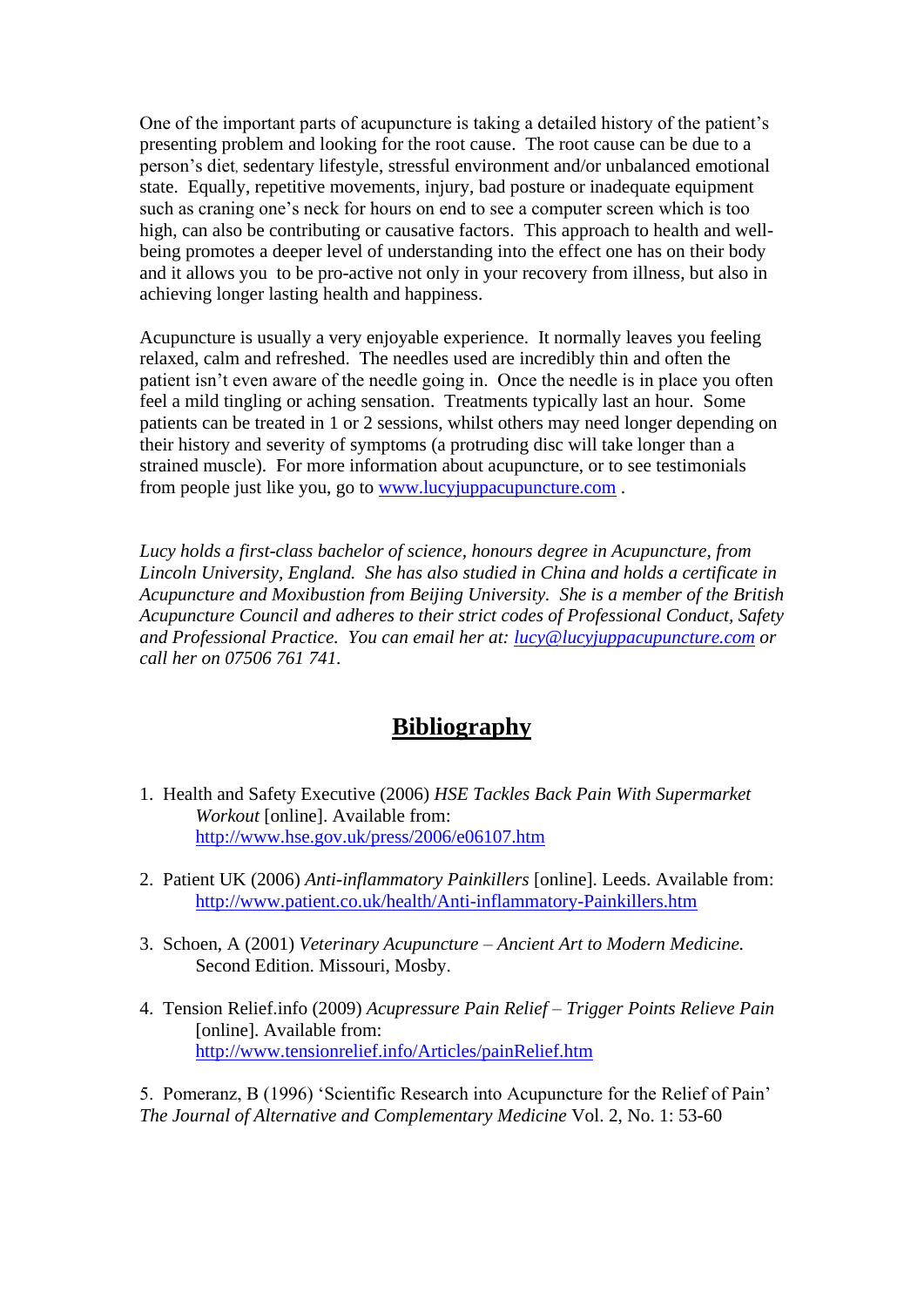One of the important parts of acupuncture is taking a detailed history of the patient's presenting problem and looking for the root cause. The root cause can be due to a person's diet, sedentary lifestyle, stressful environment and/or unbalanced emotional state. Equally, repetitive movements, injury, bad posture or inadequate equipment such as craning one's neck for hours on end to see a computer screen which is too high, can also be contributing or causative factors. This approach to health and wellbeing promotes a deeper level of understanding into the effect one has on their body and it allows you to be pro-active not only in your recovery from illness, but also in achieving longer lasting health and happiness.

Acupuncture is usually a very enjoyable experience. It normally leaves you feeling relaxed, calm and refreshed. The needles used are incredibly thin and often the patient isn't even aware of the needle going in. Once the needle is in place you often feel a mild tingling or aching sensation. Treatments typically last an hour. Some patients can be treated in 1 or 2 sessions, whilst others may need longer depending on their history and severity of symptoms (a protruding disc will take longer than a strained muscle). For more information about acupuncture, or to see testimonials from people just like you, go to [www.lucyjuppacupuncture.com](http://www.lucyjuppacupuncture.com/) .

*Lucy holds a first-class bachelor of science, honours degree in Acupuncture, from Lincoln University, England. She has also studied in China and holds a certificate in Acupuncture and Moxibustion from Beijing University. She is a member of the British Acupuncture Council and adheres to their strict codes of Professional Conduct, Safety and Professional Practice. You can email her at: [lucy@lucyjuppacupuncture.com](mailto:lucy@lucyjuppacupuncture.com) or call her on 07506 761 741.*

## **Bibliography**

- 1. Health and Safety Executive (2006) *HSE Tackles Back Pain With Supermarket Workout* [online]. Available from: <http://www.hse.gov.uk/press/2006/e06107.htm>
- 2. Patient UK (2006) *Anti-inflammatory Painkillers* [online]. Leeds. Available from: <http://www.patient.co.uk/health/Anti-inflammatory-Painkillers.htm>
- 3. Schoen, A (2001) *Veterinary Acupuncture – Ancient Art to Modern Medicine.*  Second Edition. Missouri, Mosby.
- 4. Tension Relief.info (2009) *Acupressure Pain Relief – Trigger Points Relieve Pain*  [online]. Available from: <http://www.tensionrelief.info/Articles/painRelief.htm>

5. Pomeranz, B (1996) 'Scientific Research into Acupuncture for the Relief of Pain' *The Journal of Alternative and Complementary Medicine* Vol. 2, No. 1: 53-60